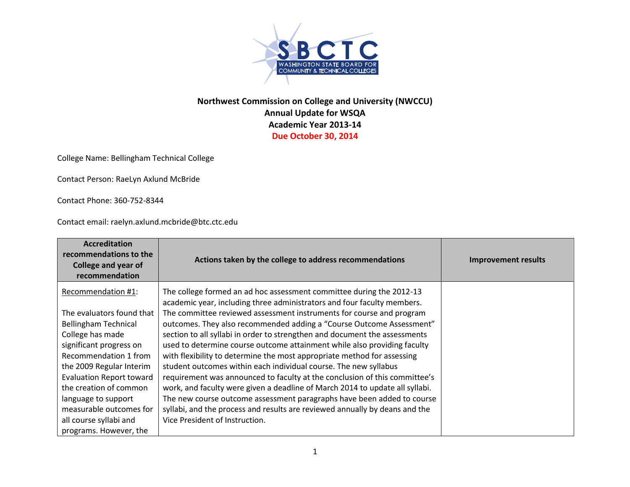

## **Northwest Commission on College and University (NWCCU) Annual Update for WSQA Academic Year 2013-14 Due October 30, 2014**

College Name: Bellingham Technical College

Contact Person: RaeLyn Axlund McBride

Contact Phone: 360-752-8344

Contact email: raelyn.axlund.mcbride@btc.ctc.edu

| <b>Accreditation</b><br>recommendations to the<br><b>College and year of</b><br>recommendation | Actions taken by the college to address recommendations                                                                                         | <b>Improvement results</b> |
|------------------------------------------------------------------------------------------------|-------------------------------------------------------------------------------------------------------------------------------------------------|----------------------------|
| Recommendation #1:                                                                             | The college formed an ad hoc assessment committee during the 2012-13<br>academic year, including three administrators and four faculty members. |                            |
| The evaluators found that                                                                      | The committee reviewed assessment instruments for course and program                                                                            |                            |
| <b>Bellingham Technical</b>                                                                    | outcomes. They also recommended adding a "Course Outcome Assessment"                                                                            |                            |
| College has made                                                                               | section to all syllabi in order to strengthen and document the assessments                                                                      |                            |
| significant progress on                                                                        | used to determine course outcome attainment while also providing faculty                                                                        |                            |
| Recommendation 1 from                                                                          | with flexibility to determine the most appropriate method for assessing                                                                         |                            |
| the 2009 Regular Interim                                                                       | student outcomes within each individual course. The new syllabus                                                                                |                            |
| <b>Evaluation Report toward</b>                                                                | requirement was announced to faculty at the conclusion of this committee's                                                                      |                            |
| the creation of common                                                                         | work, and faculty were given a deadline of March 2014 to update all syllabi.                                                                    |                            |
| language to support                                                                            | The new course outcome assessment paragraphs have been added to course                                                                          |                            |
| measurable outcomes for                                                                        | syllabi, and the process and results are reviewed annually by deans and the                                                                     |                            |
| all course syllabi and                                                                         | Vice President of Instruction.                                                                                                                  |                            |
| programs. However, the                                                                         |                                                                                                                                                 |                            |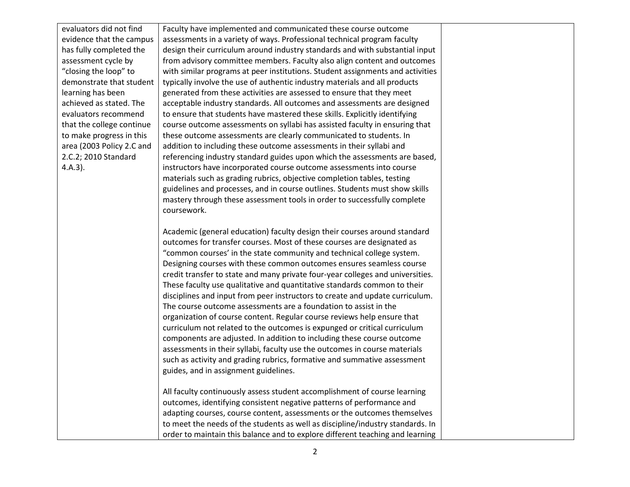evaluators did not find evidence that the campus has fully completed the assessment cycle by "closing the loop" to demonstrate that student learning has been achieved as stated. The evaluators recommend that the college continue to make progress in this area (2003 Policy 2.C and 2.C.2; 2010 Standard 4.A.3).

Faculty have implemented and communicated these course outcome assessments in a variety of ways. Professional technical program faculty design their curriculum around industry standards and with substantial input from [advisory committee](https://sharepoint2013.btc.ctc.edu/sites/accreditation/Shared%20Documents/Instruction/Faculty/rptActiveMembers-ByProgram.pdf) members. Faculty also align content and outcomes with similar programs at peer institutions. Student assignments and activities typically involve the use of authentic industry materials and all products generated from these activities are assessed to ensure that they meet acceptable industry standards. All outcomes and assessments are designed to ensure that students have mastered these skills. Explicitly identifying course outcome assessments on syllabi has assisted faculty in ensuring that these outcome assessments are clearly communicated to students. In addition to including these outcome assessments in their syllabi and referencing industry standard guides upon which the assessments are based, instructors have incorporated course outcome assessments into course materials such as grading rubrics, objective completion tables, testing guidelines and processes, and in course outlines. Students must show skills mastery through these assessment tools in order to successfully complete coursework.

Academic (general education) faculty design their courses around standard outcomes for transfer courses. Most of these courses are designated as "common courses' in the state community and technical college system. Designing courses with these common outcomes ensures seamless course credit transfer to state and many private four-year colleges and universities. These faculty use qualitative and quantitative standards common to their disciplines and input from peer instructors to create and update curriculum. The course outcome assessments are a foundation to assist in the organization of course content. Regular course reviews help ensure that curriculum not related to the outcomes is expunged or critical curriculum components are adjusted. In addition to including these course outcome assessments in their syllabi, faculty use the outcomes in course materials such as activity and grading rubrics, formative and summative assessment guides, and in assignment guidelines.

All faculty continuously assess student accomplishment of course learning outcomes, identifying consistent negative patterns of performance and adapting courses, course content, assessments or the outcomes themselves to meet the needs of the students as well as discipline/industry standards. In order to maintain this balance and to explore different teaching and learning